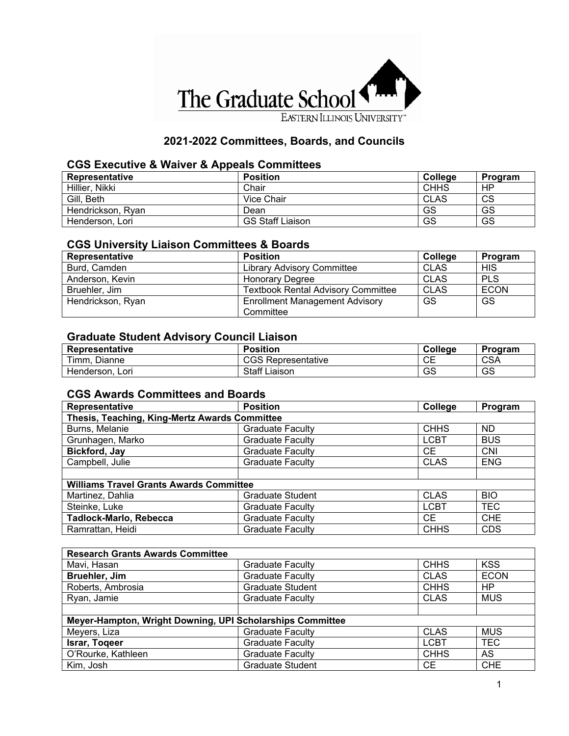

## **2021-2022 Committees, Boards, and Councils**

### **CGS Executive & Waiver & Appeals Committees**

| Representative    | <b>Position</b>         | <b>College</b> | Program |
|-------------------|-------------------------|----------------|---------|
| Hillier, Nikki    | Chair                   | <b>CHHS</b>    | HP      |
| Gill, Beth        | Vice Chair              | <b>CLAS</b>    | CS      |
| Hendrickson, Rvan | Dean                    | GS             | GS      |
| Henderson, Lori   | <b>GS Staff Liaison</b> | GS             | GS      |

#### **CGS University Liaison Committees & Boards**

| Representative    | <b>Position</b>                                    | College     | Program     |
|-------------------|----------------------------------------------------|-------------|-------------|
| Burd, Camden      | <b>Library Advisory Committee</b>                  | <b>CLAS</b> | <b>HIS</b>  |
| Anderson, Kevin   | <b>Honorary Degree</b>                             | <b>CLAS</b> | <b>PLS</b>  |
| Bruehler, Jim     | <b>Textbook Rental Advisory Committee</b>          | CLAS        | <b>ECON</b> |
| Hendrickson, Ryan | <b>Enrollment Management Advisory</b><br>Committee | <b>GS</b>   | <b>GS</b>   |

#### **Graduate Student Advisory Council Liaison**

| <b>Representative</b> | <b>Position</b>           | College         | Program    |
|-----------------------|---------------------------|-----------------|------------|
| Timm,<br>Dianne       | <b>CGS Representative</b> | ◡⊏              | <b>CSA</b> |
| Henderson,<br>Lori    | <b>Staff Liaison</b>      | <b>rr</b><br>دی | GS         |

#### **CGS Awards Committees and Boards**

| Representative                                 | <b>Position</b>         | College     | Program    |  |
|------------------------------------------------|-------------------------|-------------|------------|--|
| Thesis, Teaching, King-Mertz Awards Committee  |                         |             |            |  |
| Burns, Melanie                                 | <b>Graduate Faculty</b> | <b>CHHS</b> | <b>ND</b>  |  |
| Grunhagen, Marko                               | <b>Graduate Faculty</b> | <b>LCBT</b> | <b>BUS</b> |  |
| Bickford, Jay                                  | <b>Graduate Faculty</b> | CE.         | <b>CNI</b> |  |
| Campbell, Julie                                | <b>Graduate Faculty</b> | <b>CLAS</b> | <b>ENG</b> |  |
|                                                |                         |             |            |  |
| <b>Williams Travel Grants Awards Committee</b> |                         |             |            |  |
| Martinez, Dahlia                               | <b>Graduate Student</b> | <b>CLAS</b> | <b>BIO</b> |  |
| Steinke, Luke                                  | <b>Graduate Faculty</b> | <b>LCBT</b> | <b>TEC</b> |  |
| <b>Tadlock-Marlo, Rebecca</b>                  | <b>Graduate Faculty</b> | CE.         | <b>CHE</b> |  |
| Ramrattan, Heidi                               | <b>Graduate Faculty</b> | <b>CHHS</b> | <b>CDS</b> |  |

| <b>Research Grants Awards Committee</b>                   |                         |             |             |  |  |
|-----------------------------------------------------------|-------------------------|-------------|-------------|--|--|
| Mavi, Hasan                                               | <b>Graduate Faculty</b> | <b>CHHS</b> | <b>KSS</b>  |  |  |
| Bruehler, Jim                                             | <b>Graduate Faculty</b> | <b>CLAS</b> | <b>ECON</b> |  |  |
| Roberts, Ambrosia                                         | <b>Graduate Student</b> | <b>CHHS</b> | HP          |  |  |
| Ryan, Jamie                                               | <b>Graduate Faculty</b> | <b>CLAS</b> | <b>MUS</b>  |  |  |
|                                                           |                         |             |             |  |  |
| Meyer-Hampton, Wright Downing, UPI Scholarships Committee |                         |             |             |  |  |
| Meyers, Liza                                              | <b>Graduate Faculty</b> | <b>CLAS</b> | <b>MUS</b>  |  |  |
| Israr, Togeer                                             | <b>Graduate Faculty</b> | <b>LCBT</b> | <b>TEC</b>  |  |  |
| O'Rourke, Kathleen                                        | <b>Graduate Faculty</b> | <b>CHHS</b> | AS          |  |  |
| Kim, Josh                                                 | <b>Graduate Student</b> | <b>CE</b>   | <b>CHE</b>  |  |  |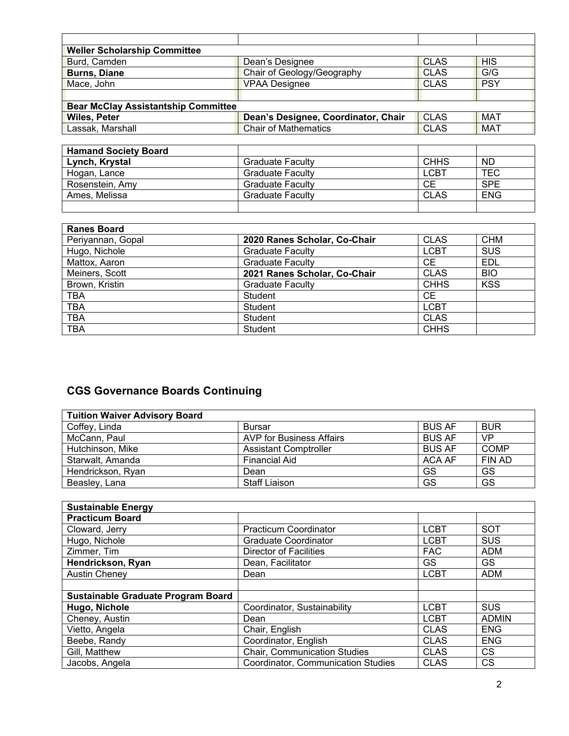| <b>Weller Scholarship Committee</b>        |                                     |             |            |
|--------------------------------------------|-------------------------------------|-------------|------------|
| Burd, Camden                               | Dean's Designee                     | <b>CLAS</b> | <b>HIS</b> |
| <b>Burns, Diane</b>                        | Chair of Geology/Geography          | <b>CLAS</b> | G/G        |
| Mace, John                                 | <b>VPAA Designee</b>                | <b>CLAS</b> | <b>PSY</b> |
|                                            |                                     |             |            |
| <b>Bear McClay Assistantship Committee</b> |                                     |             |            |
| <b>Wiles, Peter</b>                        | Dean's Designee, Coordinator, Chair | <b>CLAS</b> | <b>MAT</b> |
| Lassak, Marshall                           | <b>Chair of Mathematics</b>         | <b>CLAS</b> | <b>MAT</b> |

| <b>CHHS</b> | ND.        |
|-------------|------------|
| LCBT        | <b>TEC</b> |
| СE          | <b>SPE</b> |
| <b>CLAS</b> | <b>ENG</b> |
|             |            |
|             |            |

| <b>Ranes Board</b> |                              |             |            |
|--------------------|------------------------------|-------------|------------|
| Periyannan, Gopal  | 2020 Ranes Scholar, Co-Chair | <b>CLAS</b> | <b>CHM</b> |
| Hugo, Nichole      | <b>Graduate Faculty</b>      | <b>LCBT</b> | <b>SUS</b> |
| Mattox, Aaron      | <b>Graduate Faculty</b>      | <b>CE</b>   | EDL        |
| Meiners, Scott     | 2021 Ranes Scholar, Co-Chair | <b>CLAS</b> | <b>BIO</b> |
| Brown, Kristin     | <b>Graduate Faculty</b>      | <b>CHHS</b> | <b>KSS</b> |
| <b>TBA</b>         | Student                      | <b>CE</b>   |            |
| <b>TBA</b>         | <b>Student</b>               | <b>LCBT</b> |            |
| TBA                | <b>Student</b>               | <b>CLAS</b> |            |
| TBA                | Student                      | <b>CHHS</b> |            |

## **CGS Governance Boards Continuing**

| <b>Tuition Waiver Advisory Board</b> |                              |               |             |
|--------------------------------------|------------------------------|---------------|-------------|
| Coffey, Linda                        | <b>Bursar</b>                | <b>BUS AF</b> | <b>BUR</b>  |
| McCann, Paul                         | AVP for Business Affairs     | <b>BUS AF</b> | <b>VP</b>   |
| Hutchinson, Mike                     | <b>Assistant Comptroller</b> | <b>BUS AF</b> | <b>COMP</b> |
| Starwalt, Amanda                     | Financial Aid                | ACA AF        | FIN AD      |
| Hendrickson, Ryan                    | Dean                         | GS            | GS          |
| Beasley, Lana                        | <b>Staff Liaison</b>         | GS            | GS          |

| <b>Sustainable Energy</b>                 |                                    |             |              |
|-------------------------------------------|------------------------------------|-------------|--------------|
| <b>Practicum Board</b>                    |                                    |             |              |
| Cloward, Jerry                            | <b>Practicum Coordinator</b>       | <b>LCBT</b> | <b>SOT</b>   |
| Hugo, Nichole                             | <b>Graduate Coordinator</b>        | <b>LCBT</b> | <b>SUS</b>   |
| Zimmer, Tim                               | <b>Director of Facilities</b>      | <b>FAC</b>  | <b>ADM</b>   |
| Hendrickson, Ryan                         | Dean, Facilitator                  | GS.         | <b>GS</b>    |
| <b>Austin Cheney</b>                      | Dean                               | <b>LCBT</b> | <b>ADM</b>   |
|                                           |                                    |             |              |
| <b>Sustainable Graduate Program Board</b> |                                    |             |              |
| Hugo, Nichole                             | Coordinator, Sustainability        | <b>LCBT</b> | <b>SUS</b>   |
| Cheney, Austin                            | Dean                               | <b>LCBT</b> | <b>ADMIN</b> |
| Vietto, Angela                            | Chair, English                     | <b>CLAS</b> | <b>ENG</b>   |
| Beebe, Randy                              | Coordinator, English               | <b>CLAS</b> | <b>ENG</b>   |
| Gill, Matthew                             | Chair, Communication Studies       | <b>CLAS</b> | CS.          |
| Jacobs, Angela                            | Coordinator, Communication Studies | <b>CLAS</b> | CS           |